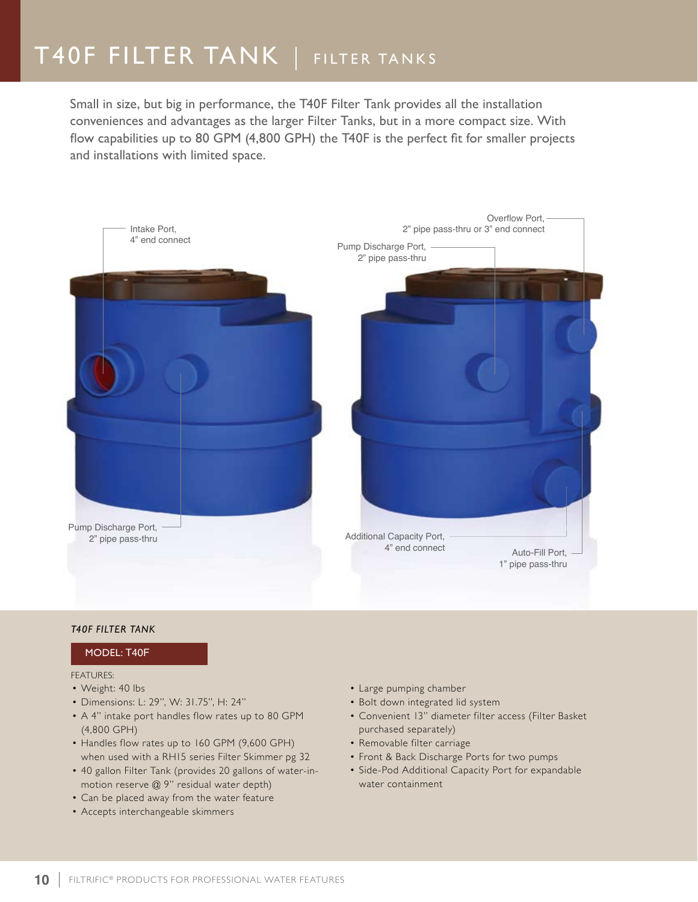# T40F FILTER TANK | FILTER TANKS

Small in size, but big in performance, the T40F Filter Tank provides all the installation conveniences and advantages as the larger Filter Tanks, but in a more compact size. With flow capabilities up to 80 GPM (4,800 GPH) the T40F is the perfect fit for smaller projects and installations with limited space.



### *T40F Filter Tank*

### Model: T40F

#### FFATURFS:

- Weight: 40 lbs
- • Dimensions: L: 29", W: 31.75", H: 24"
- A 4" intake port handles flow rates up to 80 GPM (4,800 GPH)
- Handles flow rates up to 160 GPM (9,600 GPH) when used with a RH15 series Filter Skimmer pg 32
- 40 gallon Filter Tank (provides 20 gallons of water-inmotion reserve @ 9" residual water depth)
- Can be placed away from the water feature
- Accepts interchangeable skimmers
- • Large pumping chamber
- Bolt down integrated lid system
- • Convenient 13" diameter filter access (Filter Basket purchased separately)
- • Removable filter carriage
- Front & Back Discharge Ports for two pumps
- Side-Pod Additional Capacity Port for expandable water containment